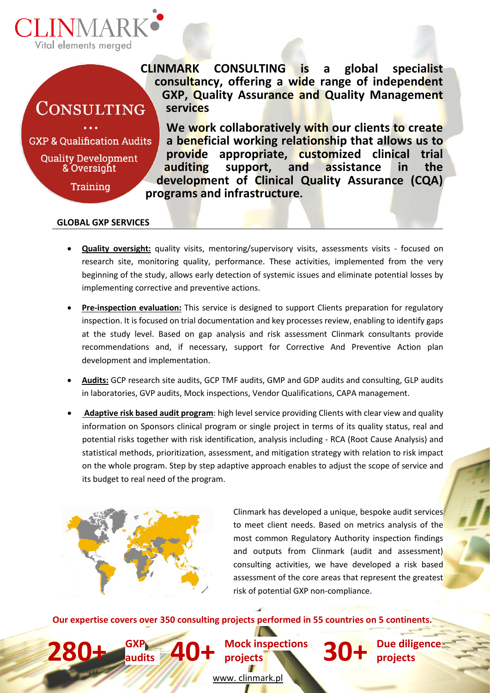

# CONSULTING

**GXP & Oualification Audits** 

**Quality Development** & Oversight

**Training** 

**CLINMARK CONSULTING is a global specialist consultancy, offering a wide range of independent GXP, Quality Assurance and Quality Management services**

**We work collaboratively with our clients to create a beneficial working relationship that allows us to provide appropriate, customized clinical trial auditing support, and assistance in the development of Clinical Quality Assurance (CQA) programs and infrastructure.** 

## **GLOBAL GXP SERVICES**

- **Quality oversight:** quality visits, mentoring/supervisory visits, assessments visits focused on research site, monitoring quality, performance. These activities, implemented from the very beginning of the study, allows early detection of systemic issues and eliminate potential losses by implementing corrective and preventive actions.
- **Pre-inspection evaluation:** This service is designed to support Clients preparation for regulatory inspection. It is focused on trial documentation and key processes review, enabling to identify gaps at the study level. Based on gap analysis and risk assessment Clinmark consultants provide recommendations and, if necessary, support for Corrective And Preventive Action plan development and implementation.
- **Audits:** GCP research site audits, GCP TMF audits, GMP and GDP audits and consulting, GLP audits in laboratories, GVP audits, Mock inspections, Vendor Qualifications, CAPA management.
- **Adaptive risk based audit program**: high level service providing Clients with clear view and quality information on Sponsors clinical program or single project in terms of its quality status, real and potential risks together with risk identification, analysis including - RCA (Root Cause Analysis) and statistical methods, prioritization, assessment, and mitigation strategy with relation to risk impact on the whole program. Step by step adaptive approach enables to adjust the scope of service and its budget to real need of the program.



**280+ GXP** 

Clinmark has developed a unique, bespoke audit services to meet client needs. Based on metrics analysis of the most common Regulatory Authority inspection findings and outputs from Clinmark (audit and assessment) consulting activities, we have developed a risk based assessment of the core areas that represent the greatest risk of potential GXP non-compliance.

**Our expertise covers over 350 consulting projects performed in 55 countries on 5 continents.**

**audits 40+ Mock inspections projects 30+ Due diligence** 

**projects**

www. clinmark.pl